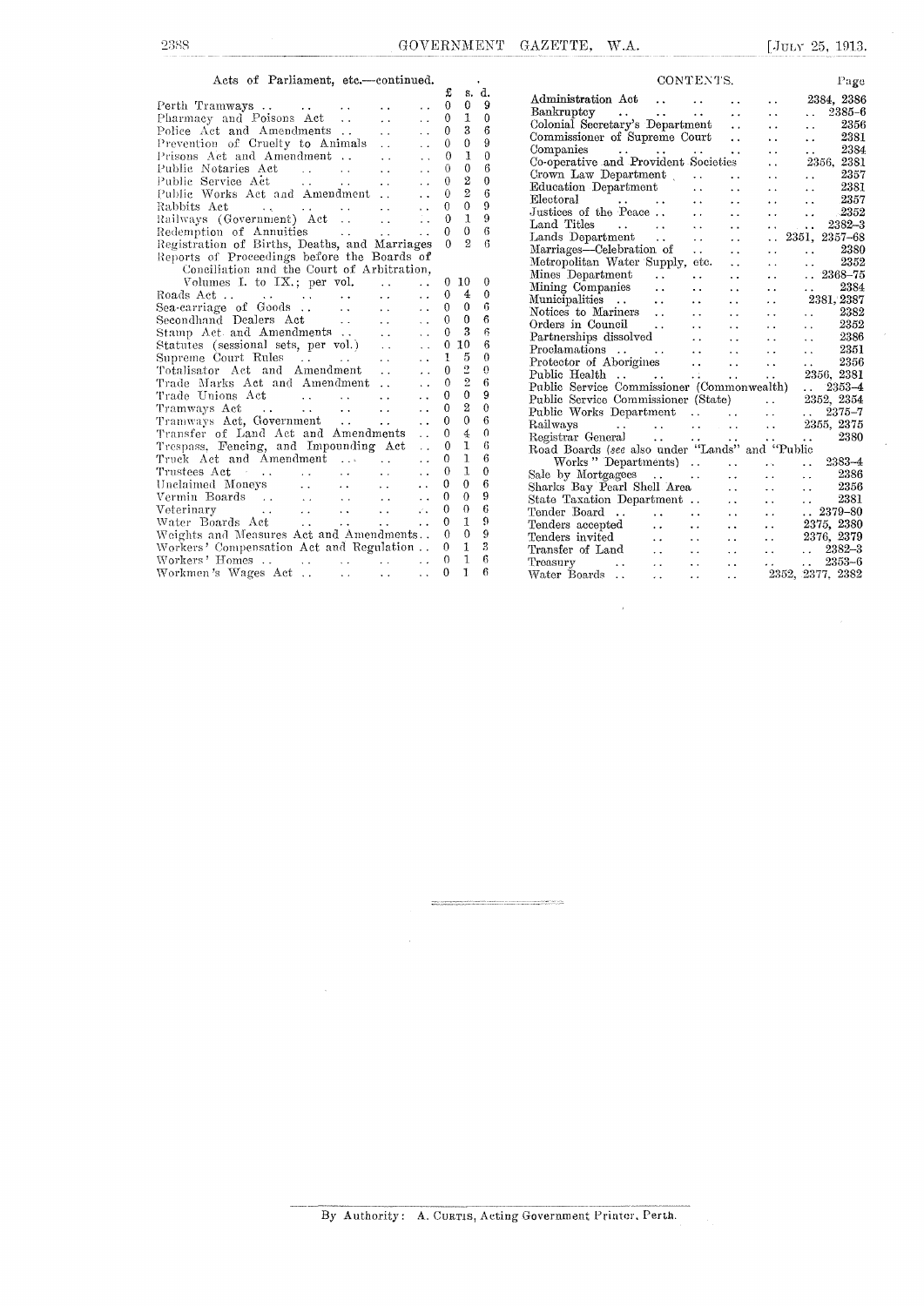## Acts of Parliament, etc.--continued.  $\begin{bmatrix} 1 & 1 \\ 2 & 3 \end{bmatrix}$

|                                                                                                                 |                            |                      | π                | b.             | u.           |
|-----------------------------------------------------------------------------------------------------------------|----------------------------|----------------------|------------------|----------------|--------------|
|                                                                                                                 |                            | $\ddot{\phantom{0}}$ | 0                | 0              | 9            |
| Perth Tramways<br>Pharmacy and Poisons Act                                                                      | $\ddot{\phantom{a}}$       | $\ddot{\phantom{0}}$ | $\mathbf{0}$     | 1              | 0            |
| Police Act and Amendments                                                                                       | $\ddotsc$                  | $\ddot{\phantom{a}}$ | 0                | 3              | 6            |
|                                                                                                                 |                            | $\ddot{\phantom{0}}$ | 0                | $\mathbf{0}$   | 9            |
| Prevention of Cruelty to Animals<br>Prisons Act and Amondmont                                                   |                            | $\ddot{\phantom{a}}$ | 0                | 1              | $\theta$     |
| $\mathcal{L}^{\text{max}}$ and $\mathcal{L}^{\text{max}}$ and $\mathcal{L}^{\text{max}}$<br>Public Notaries Act | $\ddotsc$                  | $\ddot{\phantom{0}}$ | 0                | $\overline{0}$ | 6            |
| $\mathcal{L}^{\text{max}}_{\text{max}}$ , where $\mathcal{L}^{\text{max}}_{\text{max}}$<br>Public Service Act   | $\ddotsc$                  | $\ddotsc$            | 0                | $\overline{2}$ | $\mathbf{0}$ |
| Public Works Act and Amendment                                                                                  |                            | . .                  | 0                | $\overline{2}$ | 6            |
|                                                                                                                 |                            | $\ddot{\phantom{0}}$ | 0                | 0              | 9            |
|                                                                                                                 |                            | $\ddotsc$            | $\theta$         | $\mathbf{1}$   | 9            |
| Redemption of Annuities<br><b>Contract Contract Contract</b>                                                    |                            | $\ddotsc$            | $\Omega$         | 0              | 6            |
| Registration of Births, Deaths, and Marriages                                                                   |                            |                      | $\Omega$         | $\overline{2}$ | 6            |
| Reports of Proceedings before the Boards of                                                                     |                            |                      |                  |                |              |
| Conciliation and the Court of Arbitration,                                                                      |                            |                      |                  |                |              |
| Volumes I. to $IX$ , per vol.                                                                                   | $\ddot{\phantom{a}}$       |                      | 0                | 10             | $\theta$     |
|                                                                                                                 |                            | $\ddot{\phantom{0}}$ | 0                | $\overline{4}$ | $\mathbf{0}$ |
|                                                                                                                 |                            | $\ddot{\phantom{0}}$ | $\theta$         | $\theta$       | 6            |
| Sea-carriage of Goods<br>$\sim 1000$ km s $^{-1}$<br>Secondhand Dealers Act                                     | $\mathcal{L}(\mathcal{L})$ | $\ddot{\phantom{0}}$ | 0                | $\mathbf{0}$   | 6            |
| $\langle\cdot\,\cdot\,\rangle$                                                                                  | $\mathbf{r}$               | $\ddot{\phantom{a}}$ |                  |                |              |
| Stamp Act and Amendments                                                                                        | $\mathcal{L}(\mathbf{x})$  | $\ddot{\phantom{0}}$ | 0                | 3              | 6            |
| Statutes (sessional sets, per vol.) $\therefore$<br>Sunrame Court $\mathbf{P}$ .                                |                            | $\ddot{\phantom{0}}$ | $\theta$         | 10             | 6            |
| Supreme Court Rules                                                                                             |                            | $\ddot{\phantom{a}}$ | 1                | 5              | $\theta$     |
| Totalisator Act and Amendment                                                                                   | $\sim 10^{-11}$            | $\ddot{\phantom{a}}$ | <sup>0</sup>     | $\frac{2}{2}$  | 0            |
| Trade Marks Act and Amendment                                                                                   |                            | $\ddot{\phantom{0}}$ | 0                |                | 6            |
| Trade Unions Act                                                                                                |                            | $\ddot{\phantom{a}}$ | $\theta$         | 0              | 9            |
|                                                                                                                 |                            | $\ddot{\phantom{a}}$ | 0                | $\overline{2}$ | $\mathbf{0}$ |
| Tramways Act, Government                                                                                        |                            | $\ddot{\phantom{0}}$ | $\mathbf{0}$     | $\mathbf{0}$   | 6            |
| Transfer of Land Act and Amendments                                                                             |                            | $\ddot{\phantom{0}}$ | $\theta$         | $\overline{4}$ | $\theta$     |
| Trespass, Fencing, and Impounding Act                                                                           |                            | $\ddot{\phantom{a}}$ | 0                | 1              | 6            |
| Truck Act and Amendment  .                                                                                      |                            | $\ddot{\phantom{0}}$ | 0                | ı              | 6            |
| Trustees Act<br>$\mathbf{1}$ , $\mathbf{1}$ , $\mathbf{1}$ , $\mathbf{1}$                                       | $\mathbf{L}(\mathbf{r})$   | $\ddot{\phantom{0}}$ | 0                | $\mathbf{1}$   | $\theta$     |
| Unclaimed Moneys<br>المتواصل المتحدث والمت                                                                      |                            | $\ddot{\phantom{0}}$ | 0                | $\mathbf{0}$   | 6            |
|                                                                                                                 |                            | $\ddot{\phantom{0}}$ | $\boldsymbol{0}$ | 0              | 9            |
| Vermin Boards<br>Veterinary<br>Weterinary Martin (1999)                                                         |                            | z.                   | 0                | 0              | 6            |
| Water Boards Act<br>and the state of the state of                                                               |                            | $\ddot{\phantom{a}}$ | 0                | $\mathbf{1}$   | 9            |
| Weights and Measures Act and Amendments                                                                         |                            |                      | $\theta$         | $\theta$       | 9            |
| Workers' Compensation Act and Regulation                                                                        |                            |                      | 0                | 1              | 3            |
|                                                                                                                 |                            |                      | $\theta$         | $\mathbf{1}$   | 6            |
| $\mathcal{L}^{\text{max}}$ and $\mathcal{L}^{\text{max}}$<br>Workmen's Wages Act                                | $\sim$ $\sim$              | $\ddot{\phantom{a}}$ | $\theta$         | Ŧ              | 6            |
|                                                                                                                 |                            |                      |                  |                |              |

 $\lambda$ 

|                                                                                  |                         | CONTENTS.                                     |                      |                                                      | Page                                                                |
|----------------------------------------------------------------------------------|-------------------------|-----------------------------------------------|----------------------|------------------------------------------------------|---------------------------------------------------------------------|
| Administration Act                                                               | <b>Contract</b>         |                                               |                      | . .                                                  | 2384, 2386                                                          |
| Bankruptcy                                                                       |                         | $\sim$                                        | . .                  | $\ddot{\phantom{0}}$                                 | $. 2385 - 6$                                                        |
| Colonial Secretary's Department                                                  |                         |                                               | $\ddot{\phantom{a}}$ | $\ddot{\phantom{0}}$                                 | 2356<br>$\ddot{\phantom{a}}$                                        |
| Commissioner of Supreme Court                                                    |                         |                                               | $\ddot{\phantom{0}}$ | $\ddot{\phantom{0}}$                                 | $-2381$<br>$\ddot{\phantom{0}}$                                     |
|                                                                                  |                         |                                               | . .                  | . .                                                  | 2384<br>i.                                                          |
| Companies<br>Co-operative and Provident Societies                                |                         |                                               |                      | $\ddot{\phantom{a}}$                                 | 2356, 2381                                                          |
| Crown Law Department $\ldots$                                                    |                         |                                               | $\ddot{\phantom{0}}$ |                                                      | $\begin{array}{ccc} \ldots & & 2357 \\ \ldots & & 2381 \end{array}$ |
| Education Department                                                             |                         | $\ddot{\phantom{0}}$                          | $\ddot{\phantom{0}}$ | $\ddot{\phantom{0}}$                                 |                                                                     |
| Electoral                                                                        |                         | $\cdot$ .                                     |                      | $\ddot{\phantom{0}}$                                 | 2357<br>i i                                                         |
| Electoral<br>Justices of the Peace                                               |                         | $\ddot{\phantom{0}}$                          |                      |                                                      | $\cdot\,2352$<br>$\ddot{\phantom{0}}$                               |
| Land Titles                                                                      |                         | $\ddot{\phantom{0}}$                          | $\ddot{\phantom{1}}$ | $\sim$ 100 $\sim$ 100 $\sim$<br>$\ddot{\phantom{1}}$ | 2382-3                                                              |
| Lands Department                                                                 |                         | $\ddot{\phantom{0}}$                          |                      | $\ddotsc$                                            | 2351, 2357-68                                                       |
| Marriages—Celebration of                                                         |                         | $\ddotsc$                                     | $\ddot{\phantom{0}}$ | $\ddot{\phantom{0}}$                                 | 2380<br>$\ddot{\phantom{0}}$                                        |
| Metropolitan Water Supply, etc.                                                  |                         |                                               | $\ddot{\phantom{0}}$ | $\ddot{\phantom{a}}$                                 | 2352<br>$\ddot{\phantom{0}}$                                        |
| Mines Department                                                                 | $\epsilon$ .            | $\ddot{\phantom{0}}$                          | $\ddot{\phantom{0}}$ | $\ddot{\phantom{0}}$                                 | $\ldots\ 2368\hbox{--}75$                                           |
| Mining Companies                                                                 | $\ddot{\phantom{0}}$    | $\ddot{\phantom{a}}$                          | $\ddot{\phantom{0}}$ | $\ddot{\phantom{0}}$                                 | 2384<br>$\mathbf{1}$                                                |
| Municipalities                                                                   | $\ddot{\phantom{a}}$    | $\ddot{\phantom{0}}$                          | $\ddot{\phantom{0}}$ | . .                                                  | 2381, 2387                                                          |
| Notices to Mariners                                                              | $\ddot{\phantom{0}}$    | $\ddot{\phantom{0}}$                          | . .                  | $\ddot{\phantom{0}}$                                 | 2382<br>$\ddotsc$                                                   |
| Orders in Council                                                                | $\ddot{\phantom{1}}$    | $\ddot{\phantom{0}}$                          | $\ddot{\phantom{0}}$ | . .                                                  | 2352<br>. .                                                         |
| Partnerships dissolved                                                           |                         | $\ddot{\phantom{0}}$                          | $\ddot{\phantom{0}}$ | $\ddot{\phantom{0}}$                                 | -2386<br>$\ddot{\phantom{a}}$                                       |
| Proclamations                                                                    |                         |                                               | . .                  | . .                                                  | 2351<br>$\ddotsc$                                                   |
| Protector of Aborigines                                                          |                         | $\frac{1}{2}$ , $\frac{1}{2}$ , $\frac{1}{2}$ | $\sim 10^{-1}$       | $\ddot{\phantom{a}}$                                 | 2356<br>$\ddot{\phantom{0}}$                                        |
| Public Health                                                                    | <sup>7</sup>            |                                               | $\sim 10^{-1}$       | $\ddot{\phantom{a}}$                                 | 2356, 2381                                                          |
| Public Service Commissioner (Commonwealth)                                       |                         |                                               |                      |                                                      | $. 2353 - 4$                                                        |
| Public Service Commissioner (State)                                              |                         |                                               |                      | $\ddot{\phantom{0}}$                                 | $2352,\;2354$                                                       |
| Public Works Department                                                          |                         |                                               |                      | $\ddotsc$                                            | $\ldots$ 2375-7                                                     |
| Railways                                                                         |                         |                                               |                      |                                                      | 2355, 2375                                                          |
|                                                                                  |                         |                                               |                      |                                                      | 2380                                                                |
| Railways<br>Registrar General<br>Road Boards (see also under "Lands" and "Public |                         |                                               |                      |                                                      |                                                                     |
| Works "Departments)                                                              |                         | <b>Contract Contract</b>                      |                      | $\ddot{\phantom{a}}$                                 | $2383 - 4$<br>$\ddot{\phantom{a}}$                                  |
| Sale by Mortgagees                                                               |                         |                                               | $\ddot{\phantom{a}}$ | $\ddot{\phantom{0}}$                                 | 2386<br>$\ddot{\phantom{0}}$                                        |
| Sharks Bay Pearl Shell Area                                                      |                         |                                               | $\ddot{\phantom{a}}$ | $\ddot{\phantom{0}}$                                 | -2356<br>. .                                                        |
| State Taxation Department                                                        |                         |                                               | $\ddot{\phantom{0}}$ | $\ddot{\phantom{0}}$                                 | 2381<br>. .                                                         |
| Tender Board<br>Tenders accepted                                                 |                         | $\ddot{\phantom{0}}$                          | $\ddot{\phantom{0}}$ | $\cdot$                                              | $. 2379 - 80$                                                       |
|                                                                                  | $\ddot{\phantom{a}}$    | $\ddot{\phantom{0}}$                          | $\ddot{\phantom{0}}$ | . .                                                  | 2375, 2380                                                          |
| Tenders invited                                                                  | $\ddotsc$               | $\ddot{\phantom{0}}$                          | $\ddot{\phantom{0}}$ | . .                                                  | 2376, 2379                                                          |
| Transfer of Land                                                                 | $\ddot{\phantom{a}}$    | . .                                           | $\ddot{\phantom{0}}$ | $\ddot{\phantom{0}}$                                 | 2382-3<br>$\cdots$                                                  |
| Treasury                                                                         | $\ddot{\phantom{a}}$    | $\ddot{\phantom{0}}$                          | $\ddot{\phantom{0}}$ | i al                                                 | $2353 - 6$<br>$\mathbf{A}$                                          |
| Water Boards<br>$\ddot{\phantom{a}}$                                             | <b>KIND OF BUILDING</b> | $\ddot{\phantom{1}}$                          | . .                  |                                                      | 2352, 2377, 2382                                                    |

By Authority: A. CURTIS, Acting Government Printer, Perth.

.<br>The first contract the sequence of the constitution and contract contracts are approximately the first contract<br>The first contract of the sequence of the contract of the contract contract of the sequence of the problem o